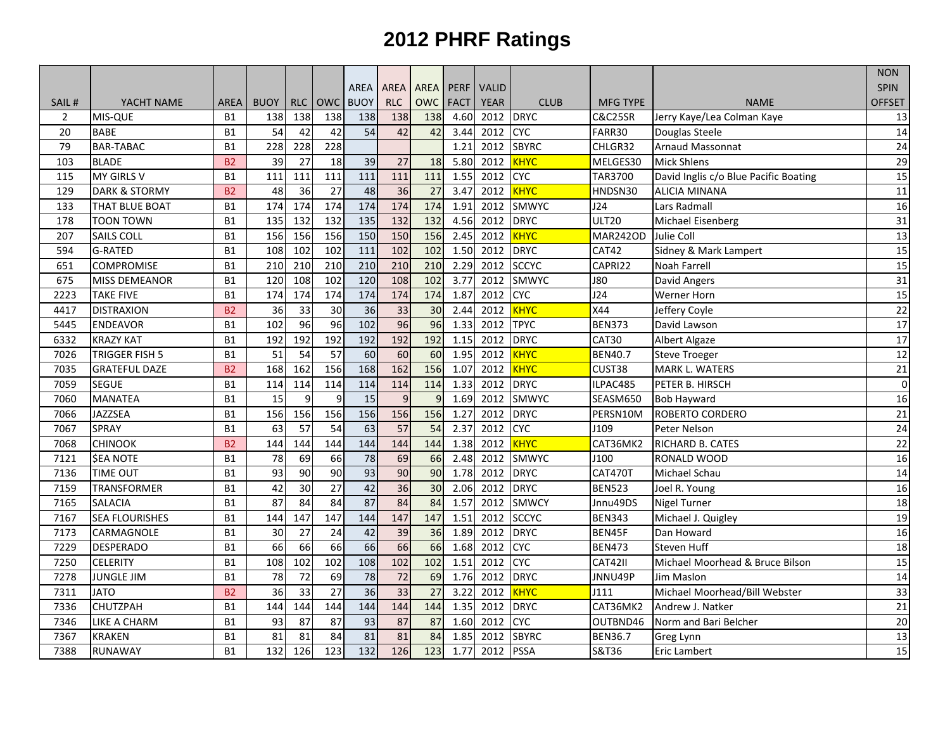|                |                          |                |                 |            |                 |                 |                 |                 |             |              |              |                    |                                       | <b>NON</b>     |
|----------------|--------------------------|----------------|-----------------|------------|-----------------|-----------------|-----------------|-----------------|-------------|--------------|--------------|--------------------|---------------------------------------|----------------|
|                |                          |                |                 |            |                 | AREA            | AREA            | <b>AREA</b>     | <b>PERF</b> | <b>VALID</b> |              |                    |                                       | <b>SPIN</b>    |
| SAIL#          | YACHT NAME               | AREA           | <b>BUOY</b>     | <b>RLC</b> | <b>OWC</b>      | <b>BUOY</b>     | <b>RLC</b>      | <b>OWC</b>      | <b>FACT</b> | <b>YEAR</b>  | <b>CLUB</b>  | <b>MFG TYPE</b>    | <b>NAME</b>                           | <b>OFFSET</b>  |
| $\overline{2}$ | MIS-QUE                  | <b>B1</b>      | 138             | 138        | 138             | 138             | 138             | 138             | 4.60        | 2012         | <b>DRYC</b>  | <b>C&amp;C25SR</b> | Jerry Kaye/Lea Colman Kaye            | 13             |
| 20             | <b>BABE</b>              | <b>B1</b>      | 54              | 42         | 42              | $\overline{54}$ | 42              | 42              | 3.44        | 2012         | <b>CYC</b>   | FARR30             | Douglas Steele                        | 14             |
| 79             | <b>BAR-TABAC</b>         | <b>B1</b>      | 228             | 228        | 228             |                 |                 |                 | 1.21        | 2012         | <b>SBYRC</b> | CHLGR32            | <b>Arnaud Massonnat</b>               | 24             |
| 103            | <b>BLADE</b>             | <b>B2</b>      | 39              | 27         | 18              | 39              | 27              | 18              | 5.80        | 2012         | <b>KHYC</b>  | MELGES30           | <b>Mick Shlens</b>                    | 29             |
| 115            | <b>MY GIRLS V</b>        | <b>B1</b>      | 111             | 111        | 111             | 111             | 111             | 111             | 1.55        | 2012         | <b>CYC</b>   | TAR3700            | David Inglis c/o Blue Pacific Boating | 15             |
| 129            | <b>DARK &amp; STORMY</b> | B <sub>2</sub> | 48              | 36         | $\overline{27}$ | $\overline{48}$ | 36              | 27              | 3.47        | 2012         | <b>KHYC</b>  | HNDSN30            | <b>ALICIA MINANA</b>                  | 11             |
| 133            | THAT BLUE BOAT           | <b>B1</b>      | 174             | 174        | 174             | 174             | 174             | 174             | 1.91        | 2012         | <b>SMWYC</b> | J24                | Lars Radmall                          | 16             |
| 178            | <b>TOON TOWN</b>         | <b>B1</b>      | 135             | 132        | 132             | 135             | 132             | 132             | 4.56        | 2012         | <b>DRYC</b>  | <b>ULT20</b>       | Michael Eisenberg                     | 31             |
| 207            | SAILS COLL               | <b>B1</b>      | 156             | 156        | 156             | 150             | 150             | 156             | 2.45        | 2012         | <b>KHYC</b>  | <b>MAR242OD</b>    | Julie Coll                            | 13             |
| 594            | <b>G-RATED</b>           | <b>B1</b>      | 108             | 102        | 102             | 111             | 102             | 102             | 1.50        | 2012         | <b>DRYC</b>  | <b>CAT42</b>       | Sidney & Mark Lampert                 | 15             |
| 651            | <b>COMPROMISE</b>        | <b>B1</b>      | 210             | 210        | 210             | 210             | 210             | 210             | 2.29        | 2012         | <b>SCCYC</b> | CAPRI22            | Noah Farrell                          | 15             |
| 675            | <b>MISS DEMEANOR</b>     | <b>B1</b>      | 120             | 108        | 102             | 120             | 108             | 102             | 3.77        | 2012         | <b>SMWYC</b> | <b>J80</b>         | David Angers                          | 31             |
| 2223           | <b>TAKE FIVE</b>         | <b>B1</b>      | 174             | 174        | 174             | 174             | 174             | 174             | 1.87        | 2012         | <b>CYC</b>   | J24                | <b>Werner Horn</b>                    | 15             |
| 4417           | <b>DISTRAXION</b>        | <b>B2</b>      | 36              | 33         | 30              | 36              | 33              | 30              | 2.44        | 2012         | <b>KHYC</b>  | X44                | Jeffery Coyle                         | 22             |
| 5445           | <b>ENDEAVOR</b>          | <b>B1</b>      | 102             | 96         | 96              | 102             | 96              | 96              | 1.33        | 2012         | <b>TPYC</b>  | <b>BEN373</b>      | David Lawson                          | 17             |
| 6332           | <b>KRAZY KAT</b>         | <b>B1</b>      | 192             | 192        | 192             | 192             | 192             | 192             | 1.15        | 2012         | <b>DRYC</b>  | CAT30              | <b>Albert Algaze</b>                  | 17             |
| 7026           | TRIGGER FISH 5           | <b>B1</b>      | 51              | 54         | 57              | 60              | 60              | 60              | 1.95        | 2012         | <b>KHYC</b>  | <b>BEN40.7</b>     | <b>Steve Troeger</b>                  | 12             |
| 7035           | <b>GRATEFUL DAZE</b>     | <b>B2</b>      | 168             | 162        | 156             | 168             | 162             | 156             | 1.07        | 2012         | <b>KHYC</b>  | CUST38             | MARK L. WATERS                        | 21             |
| 7059           | <b>SEGUE</b>             | <b>B1</b>      | 114             | 114        | 114             | 114             | 114             | 114             | 1.33        | 2012         | <b>DRYC</b>  | ILPAC485           | PETER B. HIRSCH                       | $\overline{0}$ |
| 7060           | <b>MANATEA</b>           | <b>B1</b>      | 15              | 9          | 9               | 15              | 9               | $\mathbf{q}$    | 1.69        | 2012         | <b>SMWYC</b> | SEASM650           | <b>Bob Hayward</b>                    | 16             |
| 7066           | <b>JAZZSEA</b>           | <b>B1</b>      | 156             | 156        | 156             | 156             | 156             | 156             | 1.27        | 2012         | <b>DRYC</b>  | PERSN10M           | <b>ROBERTO CORDERO</b>                | 21             |
| 7067           | <b>SPRAY</b>             | <b>B1</b>      | 63              | 57         | $\overline{54}$ | $\overline{63}$ | $\overline{57}$ | 54              | 2.37        | 2012         | <b>CYC</b>   | J109               | Peter Nelson                          | 24             |
| 7068           | <b>CHINOOK</b>           | B <sub>2</sub> | 144             | 144        | 144             | 144             | 144             | 144             | 1.38        | 2012         | <b>KHYC</b>  | CAT36MK2           | RICHARD B. CATES                      | 22             |
| 7121           | <b>SEA NOTE</b>          | <b>B1</b>      | 78              | 69         | 66              | 78              | 69              | 66              | 2.48        | 2012         | <b>SMWYC</b> | J100               | RONALD WOOD                           | 16             |
| 7136           | TIME OUT                 | <b>B1</b>      | 93              | 90         | 90              | 93              | 90              | 90              | 1.78        | 2012         | <b>DRYC</b>  | CAT470T            | Michael Schau                         | 14             |
| 7159           | <b>TRANSFORMER</b>       | <b>B1</b>      | 42              | 30         | 27              | 42              | 36              | 30              | 2.06        | 2012         | <b>DRYC</b>  | <b>BEN523</b>      | Joel R. Young                         | 16             |
| 7165           | <b>SALACIA</b>           | <b>B1</b>      | 87              | 84         | 84              | $\overline{87}$ | 84              | 84              | 1.57        | 2012         | <b>SMWCY</b> | Jnnu49DS           | Nigel Turner                          | 18             |
| 7167           | <b>SEA FLOURISHES</b>    | <b>B1</b>      | 144             | 147        | 147             | 144             | 147             | 147             | 1.51        | 2012         | <b>SCCYC</b> | <b>BEN343</b>      | Michael J. Quigley                    | 19             |
| 7173           | CARMAGNOLE               | <b>B1</b>      | 30              | 27         | 24              | 42              | 39              | 36              | 1.89        | 2012         | <b>DRYC</b>  | BEN45F             | Dan Howard                            | 16             |
| 7229           | <b>DESPERADO</b>         | <b>B1</b>      | 66              | 66         | 66              | 66              | 66              | 66              | 1.68        | 2012         | <b>CYC</b>   | <b>BEN473</b>      | <b>Steven Huff</b>                    | 18             |
| 7250           | <b>CELERITY</b>          | <b>B1</b>      | 108             | 102        | 102             | 108             | 102             | 102             | 1.51        | 2012         | <b>CYC</b>   | CAT42II            | Michael Moorhead & Bruce Bilson       | 15             |
| 7278           | <b>JUNGLE JIM</b>        | <b>B1</b>      | 78              | 72         | 69              | 78              | 72              | 69              | 1.76        | 2012         | <b>DRYC</b>  | JNNU49P            | Jim Maslon                            | 14             |
| 7311           | <b>JATO</b>              | <b>B2</b>      | $\overline{36}$ | 33         | $\overline{27}$ | $\overline{36}$ | $\overline{33}$ | $\overline{27}$ | 3.22        | 2012         | <b>KHYC</b>  | J111               | Michael Moorhead/Bill Webster         | 33             |
| 7336           | <b>CHUTZPAH</b>          | <b>B1</b>      | 144             | 144        | 144             | 144             | 144             | 144             | 1.35        | 2012         | <b>DRYC</b>  | CAT36MK2           | Andrew J. Natker                      | 21             |
| 7346           | LIKE A CHARM             | <b>B1</b>      | 93              | 87         | 87              | 93              | 87              | 87              | 1.60        | 2012         | CYC          | OUTBND46           | Norm and Bari Belcher                 | 20             |
| 7367           | <b>KRAKEN</b>            | <b>B1</b>      | 81              | 81         | 84              | 81              | 81              | 84              | 1.85        | 2012         | <b>SBYRC</b> | <b>BEN36.7</b>     | Greg Lynn                             | 13             |
| 7388           | <b>RUNAWAY</b>           | <b>B1</b>      | 132             | 126        | 123             | 132             | 126             | 123             | 1.77        | 2012         | <b>PSSA</b>  | S&T36              | <b>Eric Lambert</b>                   | 15             |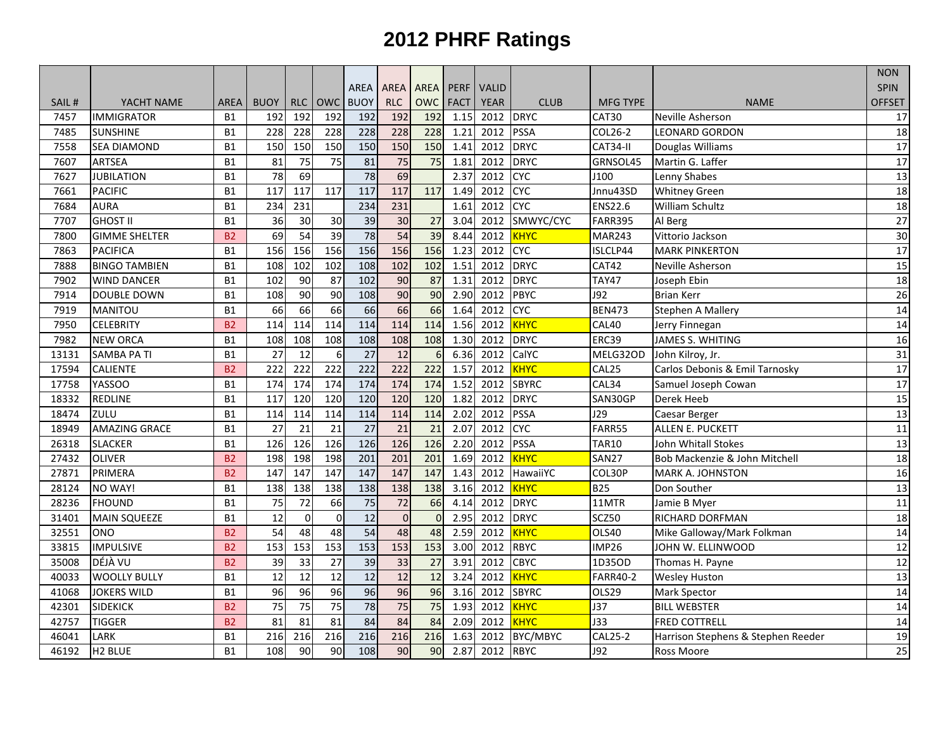|       |                      |                |             |            |                 |                 |                 |                 |             |              |              |                 |                                    | <b>NON</b>      |
|-------|----------------------|----------------|-------------|------------|-----------------|-----------------|-----------------|-----------------|-------------|--------------|--------------|-----------------|------------------------------------|-----------------|
|       |                      |                |             |            |                 | AREA            | AREA            | <b>AREA</b>     | <b>PERF</b> | <b>VALID</b> |              |                 |                                    | <b>SPIN</b>     |
| SAIL# | YACHT NAME           | <b>AREA</b>    | <b>BUOY</b> | <b>RLC</b> | <b>OWC</b>      | <b>BUOY</b>     | <b>RLC</b>      | <b>OWC</b>      | <b>FACT</b> | <b>YEAR</b>  | <b>CLUB</b>  | <b>MFG TYPE</b> | <b>NAME</b>                        | <b>OFFSET</b>   |
| 7457  | <b>IMMIGRATOR</b>    | <b>B1</b>      | 192         | 192        | 192             | 192             | 192             | 192             | 1.15        | 2012         | <b>DRYC</b>  | CAT30           | Neville Asherson                   | 17              |
| 7485  | <b>SUNSHINE</b>      | <b>B1</b>      | 228         | 228        | 228             | 228             | 228             | 228             | 1.21        | 2012         | <b>PSSA</b>  | COL26-2         | <b>LEONARD GORDON</b>              | 18              |
| 7558  | <b>SEA DIAMOND</b>   | <b>B1</b>      | 150         | 150        | 150             | 150             | 150             | 150             | 1.41        | 2012         | <b>DRYC</b>  | CAT34-II        | Douglas Williams                   | 17              |
| 7607  | <b>ARTSEA</b>        | <b>B1</b>      | 81          | 75         | 75              | 81              | 75              | 75              | 1.81        | 2012         | <b>DRYC</b>  | GRNSOL45        | Martin G. Laffer                   | $\overline{17}$ |
| 7627  | <b>JUBILATION</b>    | <b>B1</b>      | 78          | 69         |                 | 78              | 69              |                 | 2.37        | 2012         | <b>CYC</b>   | J100            | Lenny Shabes                       | 13              |
| 7661  | <b>PACIFIC</b>       | <b>B1</b>      | 117         | 117        | 117             | 117             | 117             | 117             | 1.49        | 2012         | <b>CYC</b>   | Jnnu43SD        | <b>Whitney Green</b>               | 18              |
| 7684  | <b>AURA</b>          | <b>B1</b>      | 234         | 231        |                 | 234             | 231             |                 | 1.61        | 2012         | <b>CYC</b>   | <b>ENS22.6</b>  | William Schultz                    | 18              |
| 7707  | <b>GHOST II</b>      | <b>B1</b>      | 36          | 30         | 30              | 39              | 30              | 27              | 3.04        | 2012         | SMWYC/CYC    | <b>FARR395</b>  | Al Berg                            | 27              |
| 7800  | <b>GIMME SHELTER</b> | <b>B2</b>      | 69          | 54         | 39              | $\overline{78}$ | 54              | 39              | 8.44        | 2012         | KHYC         | <b>MAR243</b>   | Vittorio Jackson                   | 30              |
| 7863  | <b>PACIFICA</b>      | <b>B1</b>      | 156         | 156        | 156             | 156             | 156             | 156             | 1.23        | 2012         | <b>CYC</b>   | ISLCLP44        | <b>MARK PINKERTON</b>              | 17              |
| 7888  | <b>BINGO TAMBIEN</b> | <b>B1</b>      | 108         | 102        | 102             | 108             | 102             | $\frac{102}{2}$ | 1.51        | 2012         | <b>DRYC</b>  | CAT42           | Neville Asherson                   | 15              |
| 7902  | <b>WIND DANCER</b>   | <b>B1</b>      | 102         | 90         | 87              | $\frac{102}{2}$ | 90              | 87              | 1.31        | 2012         | <b>DRYC</b>  | <b>TAY47</b>    | Joseph Ebin                        | 18              |
| 7914  | <b>DOUBLE DOWN</b>   | <b>B1</b>      | 108         | 90         | 90              | 108             | 90              | 90              | 2.90        | 2012         | <b>PBYC</b>  | <b>J92</b>      | <b>Brian Kerr</b>                  | 26              |
| 7919  | <b>MANITOU</b>       | <b>B1</b>      | 66          | 66         | 66              | 66              | 66              | 66              | 1.64        | 2012         | <b>CYC</b>   | <b>BEN473</b>   | Stephen A Mallery                  | 14              |
| 7950  | <b>CELEBRITY</b>     | <b>B2</b>      | 114         | 114        | 114             | 114             | 114             | 114             | 1.56        | 2012         | <b>KHYC</b>  | CAL40           | Jerry Finnegan                     | 14              |
| 7982  | <b>NEW ORCA</b>      | <b>B1</b>      | 108         | 108        | 108             | 108             | 108             | 108             | 1.30        | 2012         | <b>DRYC</b>  | ERC39           | <b>JAMES S. WHITING</b>            | 16              |
| 13131 | <b>SAMBA PA TI</b>   | <b>B1</b>      | 27          | 12         | -6              | 27              | 12              | 6               | 6.36        | 2012         | CalYC        | MELG32OD        | John Kilroy, Jr.                   | 31              |
| 17594 | <b>CALIENTE</b>      | B <sub>2</sub> | 222         | 222        | 222             | 222             | 222             | 222             | 1.57        | 2012         | <b>KHYC</b>  | CAL25           | Carlos Debonis & Emil Tarnosky     | $\overline{17}$ |
| 17758 | <b>YASSOO</b>        | <b>B1</b>      | 174         | 174        | 174             | 174             | 174             | 174             | 1.52        | 2012         | <b>SBYRC</b> | CAL34           | Samuel Joseph Cowan                | 17              |
| 18332 | REDLINE              | <b>B1</b>      | 117         | 120        | 120             | 120             | 120             | $\frac{120}{2}$ | 1.82        | 2012         | <b>DRYC</b>  | SAN30GP         | Derek Heeb                         | $\overline{15}$ |
| 18474 | ZULU                 | <b>B1</b>      | 114         | 114        | 114             | 114             | 114             | 114             | 2.02        | 2012         | <b>PSSA</b>  | J29             | Caesar Berger                      | 13              |
| 18949 | <b>AMAZING GRACE</b> | <b>B1</b>      | 27          | 21         | $\overline{21}$ | 27              | $\overline{21}$ | 21              | 2.07        | 2012         | <b>CYC</b>   | FARR55          | ALLEN E. PUCKETT                   | 11              |
| 26318 | <b>SLACKER</b>       | <b>B1</b>      | 126         | 126        | 126             | 126             | 126             | 126             | 2.20        | 2012         | <b>PSSA</b>  | <b>TAR10</b>    | John Whitall Stokes                | 13              |
| 27432 | <b>OLIVER</b>        | <b>B2</b>      | 198         | 198        | 198             | 201             | 201             | 201             | 1.69        | 2012         | KHYC         | <b>SAN27</b>    | Bob Mackenzie & John Mitchell      | 18              |
| 27871 | PRIMERA              | <b>B2</b>      | 147         | 147        | 147             | 147             | 147             | 147             | 1.43        | 2012         | HawaiiYC     | COL30P          | <b>MARK A. JOHNSTON</b>            | 16              |
| 28124 | NO WAY!              | <b>B1</b>      | 138         | 138        | 138             | 138             | 138             | 138             | 3.16        | 2012         | <b>KHYC</b>  | <b>B25</b>      | Don Souther                        | 13              |
| 28236 | <b>FHOUND</b>        | <b>B1</b>      | 75          | 72         | 66              | 75              | 72              | 66              | 4.14        | 2012         | <b>DRYC</b>  | 11MTR           | Jamie B Myer                       | 11              |
| 31401 | <b>MAIN SQUEEZE</b>  | <b>B1</b>      | 12          | $\Omega$   | $\Omega$        | 12              | $\Omega$        | $\Omega$        | 2.95        | 2012         | <b>DRYC</b>  | SCZ50           | RICHARD DORFMAN                    | 18              |
| 32551 | ONO                  | B <sub>2</sub> | 54          | 48         | 48              | 54              | 48              | 48              | 2.59        | 2012         | <b>KHYC</b>  | OLS40           | Mike Galloway/Mark Folkman         | 14              |
| 33815 | <b>IMPULSIVE</b>     | <b>B2</b>      | 153         | 153        | 153             | 153             | 153             | 153             | 3.00        | 2012         | <b>RBYC</b>  | <b>IMP26</b>    | JOHN W. ELLINWOOD                  | 12              |
| 35008 | DÉJÀ VU              | B <sub>2</sub> | 39          | 33         | 27              | $\overline{39}$ | 33              | 27              | 3.91        | 2012         | <b>CBYC</b>  | 1D35OD          | Thomas H. Payne                    | $\overline{12}$ |
| 40033 | <b>WOOLLY BULLY</b>  | <b>B1</b>      | 12          | 12         | 12              | 12              | 12              | 12              | 3.24        | 2012         | <b>KHYC</b>  | <b>FARR40-2</b> | <b>Wesley Huston</b>               | 13              |
| 41068 | <b>JOKERS WILD</b>   | <b>B1</b>      | 96          | 96         | 96              | 96              | 96              | 96              | 3.16        | 2012         | <b>SBYRC</b> | OLS29           | Mark Spector                       | $\overline{14}$ |
| 42301 | SIDEKICK             | <b>B2</b>      | 75          | 75         | 75              | $\overline{78}$ | 75              | 75              | 1.93        | 2012         | <b>KHYC</b>  | J37             | <b>BILL WEBSTER</b>                | 14              |
| 42757 | <b>TIGGER</b>        | <b>B2</b>      | 81          | 81         | 81              | 84              | 84              | 84              | 2.09        | 2012         | KHYC         | <b>J33</b>      | <b>FRED COTTRELL</b>               | 14              |
| 46041 | <b>LARK</b>          | <b>B1</b>      | 216         | 216        | 216             | 216             | 216             | 216             | 1.63        | 2012         | BYC/MBYC     | <b>CAL25-2</b>  | Harrison Stephens & Stephen Reeder | 19              |
| 46192 | H <sub>2</sub> BLUE  | <b>B1</b>      | 108         | 90         | 90              | 108             | 90              | <b>90</b>       | 2.87        | 2012         | <b>RBYC</b>  | <b>J92</b>      | Ross Moore                         | 25              |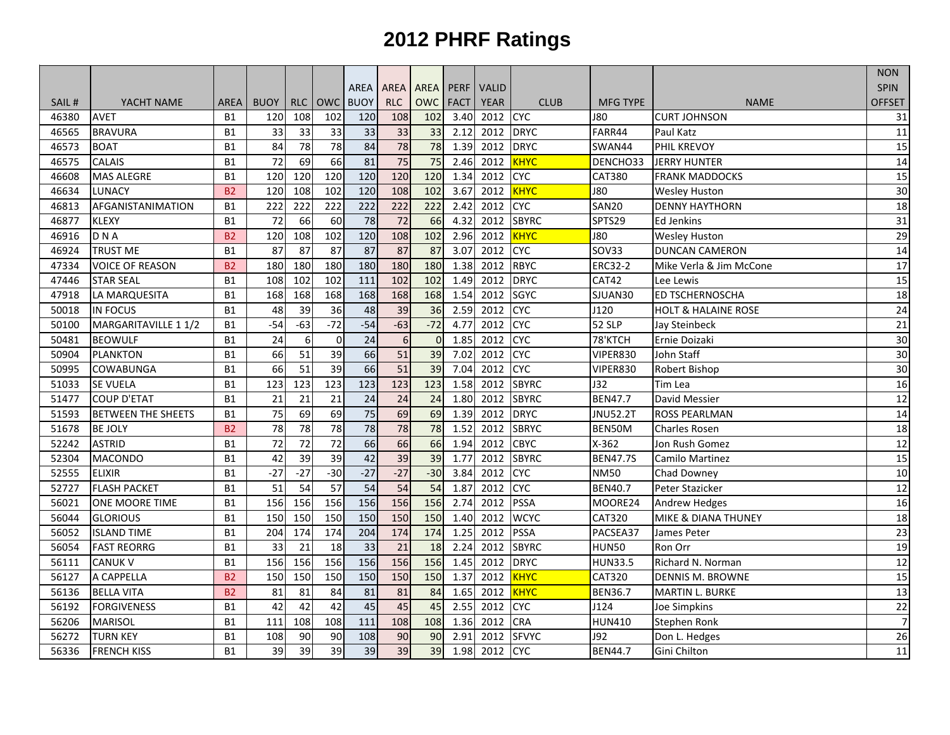|       |                           |                |                 |                 |                 |                 |                 |                 |             |              |              |                    |                                | <b>NON</b>      |
|-------|---------------------------|----------------|-----------------|-----------------|-----------------|-----------------|-----------------|-----------------|-------------|--------------|--------------|--------------------|--------------------------------|-----------------|
|       |                           |                |                 |                 |                 | AREA            | <b>AREA</b>     | <b>AREA</b>     | <b>PERF</b> | <b>VALID</b> |              |                    |                                | <b>SPIN</b>     |
| SAIL# | YACHT NAME                | <b>AREA</b>    | <b>BUOY</b>     | <b>RLC</b>      | <b>OWC</b>      | <b>BUOY</b>     | <b>RLC</b>      | <b>OWC</b>      | <b>FACT</b> | <b>YEAR</b>  | <b>CLUB</b>  | <b>MFG TYPE</b>    | <b>NAME</b>                    | <b>OFFSET</b>   |
| 46380 | <b>AVET</b>               | <b>B1</b>      | 120             | 108             | 102             | 120             | 108             | 102             | 3.40        | 2012         | <b>CYC</b>   | <b>J80</b>         | <b>CURT JOHNSON</b>            | 31              |
| 46565 | <b>BRAVURA</b>            | <b>B1</b>      | 33              | 33              | 33              | 33              | 33              | 33              | 2.12        | 2012         | <b>DRYC</b>  | FARR44             | Paul Katz                      | 11              |
| 46573 | <b>BOAT</b>               | <b>B1</b>      | 84              | 78              | 78              | 84              | 78              | 78              | 1.39        | 2012         | <b>DRYC</b>  | SWAN44             | PHIL KREVOY                    | 15              |
| 46575 | <b>CALAIS</b>             | <b>B1</b>      | $\overline{72}$ | 69              | 66              | 81              | 75              | 75              | 2.46        | 2012         | <b>KHYC</b>  | DENCHO33           | <b>JERRY HUNTER</b>            | 14              |
| 46608 | <b>MAS ALEGRE</b>         | <b>B1</b>      | 120             | 120             | 120             | 120             | 120             | 120             | 1.34        | 2012         | <b>CYC</b>   | <b>CAT380</b>      | <b>FRANK MADDOCKS</b>          | 15              |
| 46634 | LUNACY                    | B <sub>2</sub> | 120             | 108             | 102             | 120             | 108             | 102             | 3.67        | 2012         | <b>KHYC</b>  | <b>J80</b>         | <b>Wesley Huston</b>           | 30              |
| 46813 | AFGANISTANIMATION         | <b>B1</b>      | 222             | 222             | 222             | 222             | 222             | 222             | 2.42        | 2012         | <b>CAC</b>   | <b>SAN20</b>       | <b>DENNY HAYTHORN</b>          | 18              |
| 46877 | <b>KLEXY</b>              | <b>B1</b>      | 72              | 66              | 60              | 78              | $\overline{72}$ | 66              | 4.32        | 2012         | <b>SBYRC</b> | SPTS29             | <b>Ed Jenkins</b>              | 31              |
| 46916 | DNA                       | <b>B2</b>      | 120             | 108             | 102             | 120             | 108             | 102             | 2.96        | 2012         | <b>KHYC</b>  | <b>J80</b>         | <b>Wesley Huston</b>           | 29              |
| 46924 | <b>TRUST ME</b>           | <b>B1</b>      | 87              | 87              | 87              | 87              | 87              | 87              | 3.07        | 2012         | <b>CYC</b>   | SOV33              | <b>DUNCAN CAMERON</b>          | 14              |
| 47334 | <b>VOICE OF REASON</b>    | <b>B2</b>      | 180             | 180             | 180             | 180             | 180             | 180             | 1.38        | 2012         | <b>RBYC</b>  | <b>ERC32-2</b>     | Mike Verla & Jim McCone        | 17              |
| 47446 | <b>STAR SEAL</b>          | <b>B1</b>      | 108             | 102             | 102             | 111             | $\frac{102}{2}$ | $\frac{102}{2}$ | 1.49        | 2012         | <b>DRYC</b>  | $\overline{CAT42}$ | Lee Lewis                      | 15              |
| 47918 | LA MARQUESITA             | <b>B1</b>      | 168             | 168             | 168             | 168             | 168             | 168             | 1.54        | 2012         | <b>SGYC</b>  | SJUAN30            | <b>ED TSCHERNOSCHA</b>         | $\overline{18}$ |
| 50018 | <b>IN FOCUS</b>           | <b>B1</b>      | 48              | 39              | 36              | 48              | 39              | 36              | 2.59        | 2012         | <b>CAC</b>   | J120               | <b>HOLT &amp; HALAINE ROSE</b> | 24              |
| 50100 | MARGARITAVILLE 1 1/2      | <b>B1</b>      | $-54$           | $-63$           | $-72$           | $-54$           | $-63$           | $-72$           | 4.77        | 2012         | <b>CYC</b>   | 52 SLP             | Jay Steinbeck                  | 21              |
| 50481 | <b>BEOWULF</b>            | <b>B1</b>      | 24              | 6               | $\Omega$        | $\overline{24}$ | $6\,$           | $\Omega$        | 1.85        | 2012         | <b>CAC</b>   | 78'KTCH            | Ernie Doizaki                  | 30              |
| 50904 | <b>PLANKTON</b>           | <b>B1</b>      | 66              | 51              | 39              | 66              | 51              | 39              | 7.02        | 2012         | <b>CYC</b>   | VIPER830           | John Staff                     | 30              |
| 50995 | <b>COWABUNGA</b>          | <b>B1</b>      | 66              | 51              | 39              | 66              | 51              | 39              | 7.04        | 2012         | <b>CAC</b>   | VIPER830           | Robert Bishop                  | 30              |
| 51033 | <b>SE VUELA</b>           | <b>B1</b>      | 123             | 123             | 123             | 123             | 123             | 123             | 1.58        | 2012         | <b>SBYRC</b> | J32                | Tim Lea                        | 16              |
| 51477 | <b>COUP D'ETAT</b>        | <b>B1</b>      | 21              | 21              | 21              | 24              | 24              | 24              | 1.80        | 2012         | <b>SBYRC</b> | <b>BEN47.7</b>     | David Messier                  | 12              |
| 51593 | <b>BETWEEN THE SHEETS</b> | <b>B1</b>      | 75              | 69              | 69              | 75              | 69              | 69              | 1.39        | 2012         | <b>DRYC</b>  | <b>JNU52.2T</b>    | <b>ROSS PEARLMAN</b>           | 14              |
| 51678 | <b>BE JOLY</b>            | <b>B2</b>      | 78              | 78              | 78              | 78              | $\overline{78}$ | 78              | 1.52        | 2012         | <b>SBRYC</b> | BEN50M             | <b>Charles Rosen</b>           | 18              |
| 52242 | <b>ASTRID</b>             | <b>B1</b>      | 72              | $\overline{72}$ | $\overline{72}$ | 66              | 66              | 66              | 1.94        | 2012         | <b>CBYC</b>  | $X-362$            | Jon Rush Gomez                 | 12              |
| 52304 | <b>MACONDO</b>            | <b>B1</b>      | 42              | 39              | 39              | 42              | 39              | 39              | 1.77        | 2012         | <b>SBYRC</b> | <b>BEN47.7S</b>    | Camilo Martinez                | 15              |
| 52555 | <b>ELIXIR</b>             | <b>B1</b>      | $-27$           | $-27$           | $-30$           | $-27$           | $-27$           | $-30$           | 3.84        | 2012         | <b>CYC</b>   | <b>NM50</b>        | Chad Downey                    | 10              |
| 52727 | <b>FLASH PACKET</b>       | <b>B1</b>      | 51              | 54              | 57              | 54              | $\overline{54}$ | 54              | 1.87        | 2012         | <b>CYC</b>   | <b>BEN40.7</b>     | Peter Stazicker                | 12              |
| 56021 | <b>ONE MOORE TIME</b>     | <b>B1</b>      | 156             | 156             | 156             | 156             | 156             | 156             | 2.74        | 2012         | <b>PSSA</b>  | MOORE24            | Andrew Hedges                  | 16              |
| 56044 | <b>GLORIOUS</b>           | <b>B1</b>      | 150             | 150             | 150             | 150             | 150             | 150             | 1.40        | 2012         | <b>WCYC</b>  | <b>CAT320</b>      | MIKE & DIANA THUNEY            | $\overline{18}$ |
| 56052 | <b>ISLAND TIME</b>        | <b>B1</b>      | 204             | 174             | 174             | 204             | 174             | 174             | 1.25        | 2012         | <b>PSSA</b>  | PACSEA37           | James Peter                    | 23              |
| 56054 | <b>FAST REORRG</b>        | <b>B1</b>      | $\overline{33}$ | $\overline{21}$ | 18              | $\overline{33}$ | $\overline{21}$ | 18              | 2.24        | 2012         | <b>SBYRC</b> | <b>HUN50</b>       | Ron Orr                        | 19              |
| 56111 | <b>CANUK V</b>            | <b>B1</b>      | 156             | 156             | 156             | 156             | 156             | 156             | 1.45        | 2012         | <b>DRYC</b>  | <b>HUN33.5</b>     | Richard N. Norman              | $\overline{12}$ |
| 56127 | A CAPPELLA                | <b>B2</b>      | 150             | 150             | 150             | 150             | 150             | 150             | 1.37        | 2012         | <b>KHYC</b>  | CAT320             | <b>DENNIS M. BROWNE</b>        | 15              |
| 56136 | <b>BELLA VITA</b>         | <b>B2</b>      | 81              | 81              | 84              | 81              | 81              | 84              | 1.65        | 2012         | <b>KHYC</b>  | <b>BEN36.7</b>     | <b>MARTIN L. BURKE</b>         | 13              |
| 56192 | <b>FORGIVENESS</b>        | <b>B1</b>      | 42              | 42              | 42              | 45              | 45              | 45              | 2.55        | 2012         | <b>CYC</b>   | J124               | <b>Joe Simpkins</b>            | 22              |
| 56206 | <b>MARISOL</b>            | <b>B1</b>      | 111             | 108             | 108             | 111             | 108             | 108             | 1.36        | 2012         | <b>CRA</b>   | <b>HUN410</b>      | <b>Stephen Ronk</b>            | $\overline{7}$  |
| 56272 | <b>TURN KEY</b>           | <b>B1</b>      | 108             | 90              | 90              | 108             | 90              | 90              | 2.91        | 2012         | <b>SFVYC</b> | J92                | Don L. Hedges                  | 26              |
| 56336 | <b>FRENCH KISS</b>        | <b>B1</b>      | 39              | 39              | 39              | 39              | 39              | 39              | 1.98        | 2012         | <b>CYC</b>   | <b>BEN44.7</b>     | Gini Chilton                   | 11              |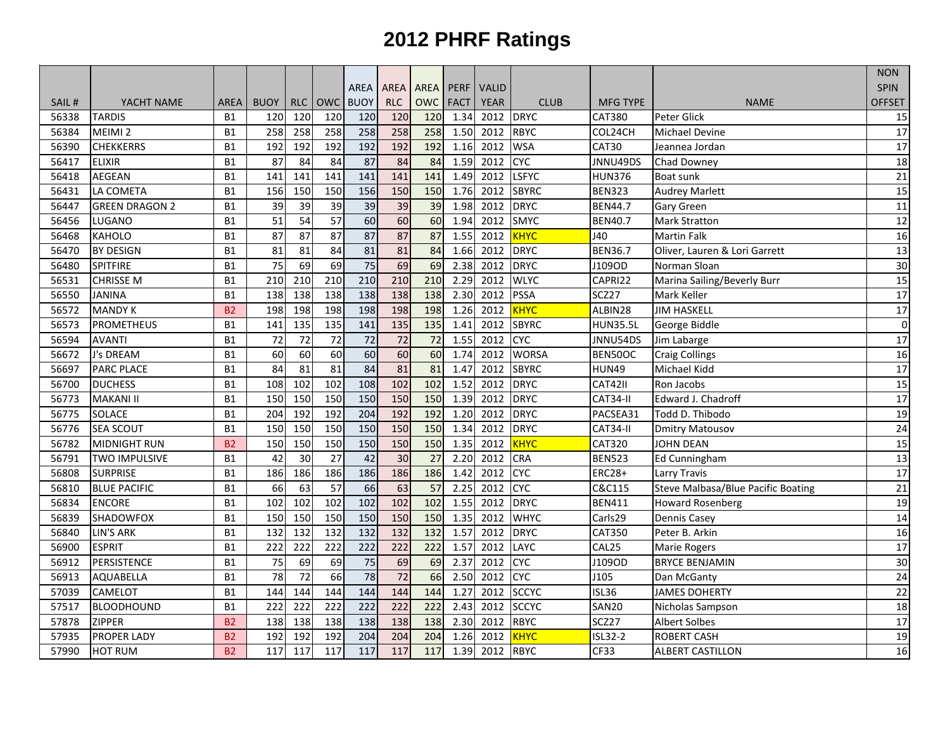|       |                       |                |                 |                  |                  |                 |                 |             |             |              |              |                 |                                    | <b>NON</b>      |
|-------|-----------------------|----------------|-----------------|------------------|------------------|-----------------|-----------------|-------------|-------------|--------------|--------------|-----------------|------------------------------------|-----------------|
|       |                       |                |                 |                  |                  | AREA            | <b>AREA</b>     | <b>AREA</b> | <b>PERF</b> | <b>VALID</b> |              |                 |                                    | <b>SPIN</b>     |
| SAIL# | YACHT NAME            | <b>AREA</b>    | <b>BUOY</b>     | RLC              | <b>OWC</b>       | <b>BUOY</b>     | <b>RLC</b>      | <b>OWC</b>  | <b>FACT</b> | <b>YEAR</b>  | <b>CLUB</b>  | <b>MFG TYPE</b> | <b>NAME</b>                        | <b>OFFSET</b>   |
| 56338 | <b>TARDIS</b>         | <b>B1</b>      | 120             | 120              | 120              | 120             | 120             | 120         | 1.34        | 2012         | <b>DRYC</b>  | <b>CAT380</b>   | Peter Glick                        | 15              |
| 56384 | MEIMI <sub>2</sub>    | <b>B1</b>      | 258             | 258              | 258              | 258             | 258             | 258         | 1.50        | 2012         | <b>RBYC</b>  | COL24CH         | <b>Michael Devine</b>              | $\overline{17}$ |
| 56390 | <b>CHEKKERRS</b>      | <b>B1</b>      | 192             | 192              | 192              | 192             | 192             | 192         | 1.16        | 2012         | <b>WSA</b>   | CAT30           | Jeannea Jordan                     | 17              |
| 56417 | <b>ELIXIR</b>         | <b>B1</b>      | $\overline{87}$ | 84               | 84               | 87              | 84              | 84          | 1.59        | 2012         | <b>CYC</b>   | JNNU49DS        | Chad Downey                        | 18              |
| 56418 | <b>AEGEAN</b>         | <b>B1</b>      | 141             | 141              | 141              | 141             | 141             | 141         | 1.49        | 2012         | <b>LSFYC</b> | <b>HUN376</b>   | Boat sunk                          | 21              |
| 56431 | LA COMETA             | B1             | 156             | 150              | 150              | 156             | 150             | 150         | 1.76        | 2012         | <b>SBYRC</b> | <b>BEN323</b>   | <b>Audrey Marlett</b>              | 15              |
| 56447 | <b>GREEN DRAGON 2</b> | <b>B1</b>      | 39              | 39               | 39               | 39              | $\overline{39}$ | 39          | 1.98        | 2012         | <b>DRYC</b>  | <b>BEN44.7</b>  | Gary Green                         | 11              |
| 56456 | LUGANO                | <b>B1</b>      | 51              | 54               | 57               | 60              | 60              | 60          | 1.94        | 2012         | <b>SMYC</b>  | <b>BEN40.7</b>  | <b>Mark Stratton</b>               | 12              |
| 56468 | <b>KAHOLO</b>         | <b>B1</b>      | 87              | 87               | 87               | 87              | 87              | 87          | 1.55        | 2012         | KHYC         | J40             | <b>Martin Falk</b>                 | 16              |
| 56470 | <b>BY DESIGN</b>      | <b>B1</b>      | 81              | 81               | 84               | 81              | 81              | 84          | 1.66        | 2012         | <b>DRYC</b>  | <b>BEN36.7</b>  | Oliver, Lauren & Lori Garrett      | 13              |
| 56480 | SPITFIRE              | <b>B1</b>      | $\overline{75}$ | 69               | 69               | 75              | 69              | 69          | 2.38        | 2012         | <b>DRYC</b>  | J109OD          | Norman Sloan                       | 30              |
| 56531 | <b>CHRISSE M</b>      | <b>B1</b>      | 210             | $\overline{210}$ | $\overline{210}$ | 210             | 210             | 210         | 2.29        | 2012         | <b>WLYC</b>  | CAPRI22         | Marina Sailing/Beverly Burr        | $\overline{15}$ |
| 56550 | <b>JANINA</b>         | B1             | 138             | 138              | 138              | 138             | 138             | 138         | 2.30        | 2012         | <b>PSSA</b>  | SCZ27           | Mark Keller                        | 17              |
| 56572 | <b>MANDY K</b>        | <b>B2</b>      | 198             | 198              | 198              | 198             | 198             | 198         | 1.26        | 2012         | KHYC         | ALBIN28         | <b>JIM HASKELL</b>                 | 17              |
| 56573 | <b>PROMETHEUS</b>     | <b>B1</b>      | 141             | 135              | 135              | 141             | 135             | 135         | 1.41        | 2012         | <b>SBYRC</b> | <b>HUN35.5L</b> | George Biddle                      | $\overline{0}$  |
| 56594 | <b>AVANTI</b>         | <b>B1</b>      | $\overline{72}$ | 72               | 72               | $\overline{72}$ | 72              | 72          | 1.55        | 2012         | <b>CYC</b>   | JNNU54DS        | Jim Labarge                        | 17              |
| 56672 | J's DREAM             | <b>B1</b>      | 60              | 60               | 60               | 60              | 60              | 60          | 1.74        | 2012         | <b>WORSA</b> | BEN50OC         | <b>Craig Collings</b>              | 16              |
| 56697 | <b>PARC PLACE</b>     | <b>B1</b>      | 84              | 81               | 81               | $\overline{84}$ | 81              | 81          | 1.47        | 2012         | <b>SBYRC</b> | <b>HUN49</b>    | Michael Kidd                       | 17              |
| 56700 | <b>DUCHESS</b>        | <b>B1</b>      | 108             | 102              | 102              | 108             | 102             | 102         | 1.52        | 2012         | <b>DRYC</b>  | CAT42II         | Ron Jacobs                         | 15              |
| 56773 | <b>MAKANI II</b>      | <b>B1</b>      | 150             | 150              | 150              | 150             | 150             | 150         | 1.39        | 2012         | <b>DRYC</b>  | CAT34-II        | Edward J. Chadroff                 | $\overline{17}$ |
| 56775 | SOLACE                | <b>B1</b>      | 204             | 192              | 192              | 204             | 192             | 192         | 1.20        | 2012         | <b>DRYC</b>  | PACSEA31        | Todd D. Thibodo                    | 19              |
| 56776 | <b>SEA SCOUT</b>      | <b>B1</b>      | 150             | 150              | 150              | 150             | 150             | 150         | 1.34        | 2012         | <b>DRYC</b>  | CAT34-II        | <b>Dmitry Matousov</b>             | 24              |
| 56782 | <b>MIDNIGHT RUN</b>   | B <sub>2</sub> | 150             | 150              | 150              | 150             | 150             | 150         | 1.35        | 2012         | <b>KHYC</b>  | CAT320          | <b>JOHN DEAN</b>                   | 15              |
| 56791 | TWO IMPULSIVE         | <b>B1</b>      | 42              | 30               | 27               | 42              | $\overline{30}$ | 27          | 2.20        | 2012         | <b>CRA</b>   | <b>BEN523</b>   | <b>Ed Cunningham</b>               | 13              |
| 56808 | <b>SURPRISE</b>       | <b>B1</b>      | 186             | 186              | 186              | 186             | 186             | 186         | 1.42        | 2012         | <b>CYC</b>   | <b>ERC28+</b>   | <b>Larry Travis</b>                | 17              |
| 56810 | <b>BLUE PACIFIC</b>   | <b>B1</b>      | 66              | 63               | $\overline{57}$  | 66              | 63              | 57          | 2.25        | 2012         | <b>CYC</b>   | C&C115          | Steve Malbasa/Blue Pacific Boating | $\overline{21}$ |
| 56834 | <b>ENCORE</b>         | <b>B1</b>      | 102             | 102              | 102              | 102             | 102             | 102         | 1.55        | 2012         | <b>DRYC</b>  | <b>BEN411</b>   | <b>Howard Rosenberg</b>            | 19              |
| 56839 | SHADOWFOX             | <b>B1</b>      | 150             | 150              | 150              | 150             | 150             | 150         | 1.35        | 2012         | <b>WHYC</b>  | Carls29         | Dennis Casey                       | 14              |
| 56840 | <b>LIN'S ARK</b>      | <b>B1</b>      | 132             | 132              | 132              | 132             | 132             | 132         | 1.57        | 2012         | <b>DRYC</b>  | <b>CAT350</b>   | Peter B. Arkin                     | 16              |
| 56900 | <b>ESPRIT</b>         | <b>B1</b>      | 222             | 222              | 222              | 222             | 222             | 222         | 1.57        | 2012         | LAYC         | CAL25           | <b>Marie Rogers</b>                | 17              |
| 56912 | PERSISTENCE           | B1             | $\overline{75}$ | 69               | 69               | $\overline{75}$ | 69              | 69          | 2.37        | 2012         | <b>CYC</b>   | J109OD          | <b>BRYCE BENJAMIN</b>              | 30              |
| 56913 | AQUABELLA             | <b>B1</b>      | 78              | 72               | 66               | 78              | 72              | 66          | 2.50        | 2012         | <b>CYC</b>   | J105            | Dan McGanty                        | 24              |
| 57039 | <b>CAMELOT</b>        | <b>B1</b>      | 144             | 144              | 144              | 144             | 144             | 144         | 1.27        | 2012         | <b>SCCYC</b> | <b>ISL36</b>    | <b>JAMES DOHERTY</b>               | 22              |
| 57517 | <b>BLOODHOUND</b>     | <b>B1</b>      | 222             | 222              | 222              | 222             | 222             | 222         | 2.43        | 2012         | <b>SCCYC</b> | SAN20           | Nicholas Sampson                   | 18              |
| 57878 | <b>ZIPPER</b>         | <b>B2</b>      | 138             | 138              | 138              | 138             | 138             | 138         | 2.30        | 2012         | <b>RBYC</b>  | SCZ27           | <b>Albert Solbes</b>               | $\overline{17}$ |
| 57935 | <b>PROPER LADY</b>    | <b>B2</b>      | 192             | 192              | 192              | 204             | 204             | 204         | 1.26        | 2012         | KHYC         | ISL32-2         | <b>ROBERT CASH</b>                 | 19              |
| 57990 | <b>HOT RUM</b>        | B <sub>2</sub> | 117             | 117              | 117              | 117             | 117             | 117         | 1.39        | 2012 RBYC    |              | CF33            | <b>ALBERT CASTILLON</b>            | 16              |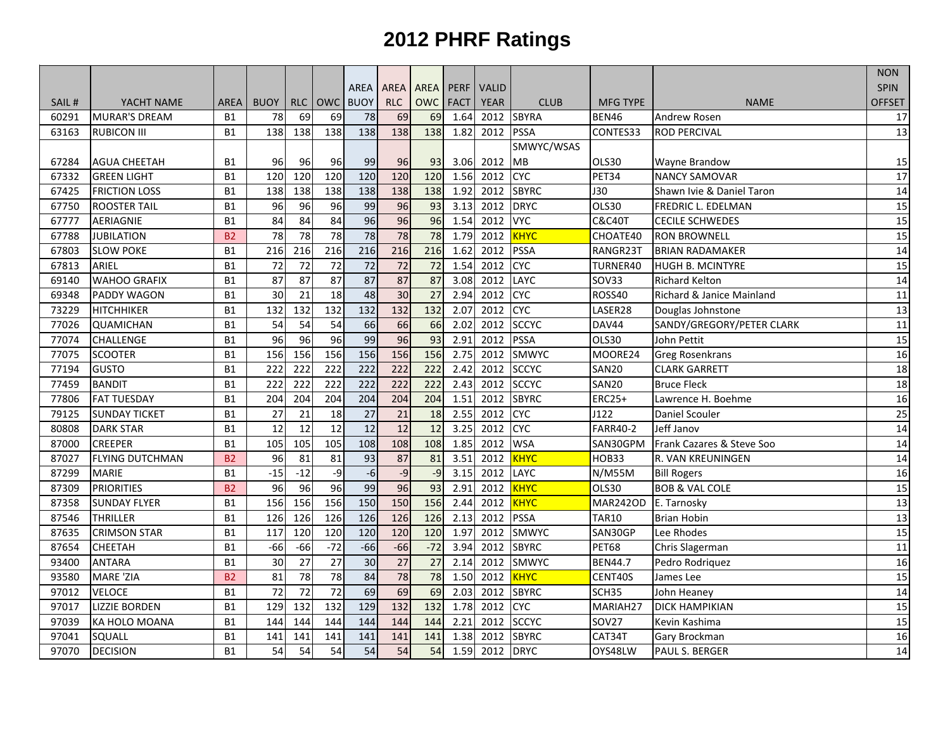|       |                        |                |                 |                 |                 |                 |                 |                  |             |              |              |                   |                           | <b>NON</b>      |
|-------|------------------------|----------------|-----------------|-----------------|-----------------|-----------------|-----------------|------------------|-------------|--------------|--------------|-------------------|---------------------------|-----------------|
|       |                        |                |                 |                 |                 | AREA            | AREA            | <b>AREA</b>      | <b>PERF</b> | <b>VALID</b> |              |                   |                           | <b>SPIN</b>     |
| SAIL# | YACHT NAME             | <b>AREA</b>    | <b>BUOY</b>     | RLC             | <b>OWC</b>      | <b>BUOY</b>     | <b>RLC</b>      | <b>OWC</b>       | <b>FACT</b> | <b>YEAR</b>  | <b>CLUB</b>  | <b>MFG TYPE</b>   | <b>NAME</b>               | <b>OFFSET</b>   |
| 60291 | <b>MURAR'S DREAM</b>   | <b>B1</b>      | 78              | 69              | 69              | 78              | 69              | 69               | 1.64        | 2012         | <b>SBYRA</b> | BEN46             | Andrew Rosen              | 17              |
| 63163 | <b>RUBICON III</b>     | <b>B1</b>      | 138             | 138             | 138             | 138             | 138             | 138              | 1.82        | 2012         | <b>PSSA</b>  | CONTES33          | <b>ROD PERCIVAL</b>       | $\overline{13}$ |
|       |                        |                |                 |                 |                 |                 |                 |                  |             |              | SMWYC/WSAS   |                   |                           |                 |
| 67284 | <b>AGUA CHEETAH</b>    | <b>B1</b>      | 96              | 96              | 96              | 99              | 96              | 93               | 3.06        | 2012         | MB           | <b>OLS30</b>      | Wayne Brandow             | 15              |
| 67332 | <b>GREEN LIGHT</b>     | <b>B1</b>      | 120             | 120             | 120             | 120             | 120             | 120              | 1.56        | 2012         | <b>CAC</b>   | <b>PET34</b>      | <b>NANCY SAMOVAR</b>      | 17              |
| 67425 | <b>FRICTION LOSS</b>   | <b>B1</b>      | 138             | 138             | 138             | 138             | 138             | 138              | 1.92        | 2012         | <b>SBYRC</b> | <b>J30</b>        | Shawn Ivie & Daniel Taron | $\overline{14}$ |
| 67750 | <b>ROOSTER TAIL</b>    | <b>B1</b>      | 96              | 96              | 96              | 99              | 96              | 93               | 3.13        | 2012         | <b>DRYC</b>  | OLS30             | FREDRIC L. EDELMAN        | 15              |
| 67777 | <b>AERIAGNIE</b>       | <b>B1</b>      | 84              | 84              | 84              | 96              | 96              | 96               | 1.54        | 2012         | <b>VYC</b>   | <b>C&amp;C40T</b> | <b>CECILE SCHWEDES</b>    | 15              |
| 67788 | <b>JUBILATION</b>      | <b>B2</b>      | 78              | 78              | 78              | 78              | 78              | 78               | 1.79        | 2012         | KHYC         | CHOATE40          | <b>RON BROWNELL</b>       | 15              |
| 67803 | <b>SLOW POKE</b>       | <b>B1</b>      | 216             | 216             | 216             | 216             | 216             | 216              | 1.62        | 2012         | <b>PSSA</b>  | RANGR23T          | <b>BRIAN RADAMAKER</b>    | 14              |
| 67813 | ARIEL                  | <b>B1</b>      | 72              | 72              | 72              | $\overline{72}$ | 72              | 72               | 1.54        | 2012         | <b>CAC</b>   | TURNER40          | <b>HUGH B. MCINTYRE</b>   | 15              |
| 69140 | <b>WAHOO GRAFIX</b>    | <b>B1</b>      | $\overline{87}$ | $\overline{87}$ | 87              | 87              | 87              | 87               | 3.08        | 2012         | <b>LAYC</b>  | <b>SOV33</b>      | <b>Richard Kelton</b>     | $\overline{14}$ |
| 69348 | PADDY WAGON            | <b>B1</b>      | 30              | $\overline{21}$ | $\overline{18}$ | 48              | $\overline{30}$ | 27               | 2.94        | 2012         | <b>CYC</b>   | ROSS40            | Richard & Janice Mainland | $\overline{11}$ |
| 73229 | <b>HITCHHIKER</b>      | <b>B1</b>      | 132             | 132             | 132             | 132             | 132             | 132              | 2.07        | 2012         | <b>CYC</b>   | LASER28           | Douglas Johnstone         | 13              |
| 77026 | <b>QUAMICHAN</b>       | <b>B1</b>      | 54              | 54              | 54              | 66              | 66              | 66               | 2.02        | 2012         | <b>SCCYC</b> | DAV44             | SANDY/GREGORY/PETER CLARK | 11              |
| 77074 | <b>CHALLENGE</b>       | <b>B1</b>      | 96              | 96              | 96              | 99              | 96              | 93               | 2.91        | 2012         | <b>PSSA</b>  | <b>OLS30</b>      | John Pettit               | 15              |
| 77075 | <b>SCOOTER</b>         | <b>B1</b>      | 156             | 156             | 156             | 156             | 156             | 156              | 2.75        | 2012         | <b>SMWYC</b> | MOORE24           | <b>Greg Rosenkrans</b>    | 16              |
| 77194 | <b>GUSTO</b>           | <b>B1</b>      | 222             | 222             | 222             | 222             | 222             | $\overline{222}$ | 2.42        | 2012         | <b>SCCYC</b> | SAN20             | <b>CLARK GARRETT</b>      | 18              |
| 77459 | <b>BANDIT</b>          | <b>B1</b>      | 222             | 222             | 222             | 222             | 222             | $\overline{222}$ | 2.43        | 2012         | <b>SCCYC</b> | <b>SAN20</b>      | <b>Bruce Fleck</b>        | 18              |
| 77806 | <b>FAT TUESDAY</b>     | <b>B1</b>      | 204             | 204             | 204             | 204             | 204             | 204              | 1.51        | 2012         | <b>SBYRC</b> | <b>ERC25+</b>     | Lawrence H. Boehme        | 16              |
| 79125 | <b>SUNDAY TICKET</b>   | <b>B1</b>      | 27              | 21              | 18              | 27              | 21              | 18               | 2.55        | 2012         | <b>CYC</b>   | J122              | Daniel Scouler            | 25              |
| 80808 | <b>DARK STAR</b>       | <b>B1</b>      | 12              | 12              | 12              | 12              | $\overline{12}$ | 12               | 3.25        | 2012         | <b>CYC</b>   | <b>FARR40-2</b>   | Jeff Janov                | 14              |
| 87000 | <b>CREEPER</b>         | <b>B1</b>      | 105             | 105             | 105             | 108             | 108             | 108              | 1.85        | 2012         | <b>WSA</b>   | SAN30GPM          | Frank Cazares & Steve Soo | 14              |
| 87027 | <b>FLYING DUTCHMAN</b> | B <sub>2</sub> | 96              | 81              | 81              | $\overline{93}$ | 87              | 81               | 3.51        | 2012         | KHYC         | HOB33             | R. VAN KREUNINGEN         | $\overline{14}$ |
| 87299 | <b>MARIE</b>           | <b>B1</b>      | $-15$           | $-12$           | $-9$            | $-6$            | $-9$            | $-9$             | 3.15        | 2012         | LAYC         | <b>N/M55M</b>     | <b>Bill Rogers</b>        | 16              |
| 87309 | <b>PRIORITIES</b>      | B <sub>2</sub> | 96              | 96              | 96              | 99              | 96              | 93               | 2.91        | 2012         | <b>KHYC</b>  | OLS30             | <b>BOB &amp; VAL COLE</b> | $\overline{15}$ |
| 87358 | <b>SUNDAY FLYER</b>    | <b>B1</b>      | 156             | 156             | 156             | 150             | 150             | 156              | 2.44        | 2012         | <b>KHYC</b>  | <b>MAR242OD</b>   | E. Tarnosky               | 13              |
| 87546 | <b>THRILLER</b>        | <b>B1</b>      | 126             | 126             | 126             | 126             | 126             | 126              | 2.13        | 2012         | <b>PSSA</b>  | <b>TAR10</b>      | <b>Brian Hobin</b>        | 13              |
| 87635 | <b>CRIMSON STAR</b>    | <b>B1</b>      | 117             | 120             | 120             | 120             | 120             | 120              | 1.97        | 2012         | <b>SMWYC</b> | SAN30GP           | Lee Rhodes                | 15              |
| 87654 | <b>CHEETAH</b>         | <b>B1</b>      | $-66$           | $-66$           | $-72$           | $-66$           | $-66$           | $-72$            | 3.94        | 2012         | <b>SBYRC</b> | <b>PET68</b>      | Chris Slagerman           | 11              |
| 93400 | <b>ANTARA</b>          | <b>B1</b>      | 30              | 27              | 27              | $\overline{30}$ | 27              | 27               | 2.14        | 2012         | <b>SMWYC</b> | <b>BEN44.7</b>    | Pedro Rodriquez           | 16              |
| 93580 | <b>MARE 'ZIA</b>       | <b>B2</b>      | 81              | 78              | 78              | 84              | 78              | 78               | 1.50        | 2012         | <b>KHYC</b>  | CENT40S           | James Lee                 | 15              |
| 97012 | <b>VELOCE</b>          | <b>B1</b>      | 72              | 72              | $\overline{72}$ | 69              | 69              | 69               | 2.03        | 2012         | <b>SBYRC</b> | SCH35             | John Heaney               | 14              |
| 97017 | <b>LIZZIE BORDEN</b>   | <b>B1</b>      | 129             | 132             | 132             | 129             | 132             | 132              | 1.78        | 2012         | <b>CYC</b>   | MARIAH27          | <b>DICK HAMPIKIAN</b>     | 15              |
| 97039 | KA HOLO MOANA          | <b>B1</b>      | 144             | 144             | 144             | 144             | 144             | 144              | 2.21        | 2012         | <b>SCCYC</b> | <b>SOV27</b>      | Kevin Kashima             | 15              |
| 97041 | SQUALL                 | <b>B1</b>      | 141             | 141             | 141             | 141             | 141             | 141              | 1.38        | 2012         | <b>SBYRC</b> | CAT34T            | Gary Brockman             | 16              |
| 97070 | <b>DECISION</b>        | <b>B1</b>      | 54              | 54              | 54              | $\overline{54}$ | 54              | 54               | 1.59        | 2012 DRYC    |              | OYS48LW           | PAUL S. BERGER            | 14              |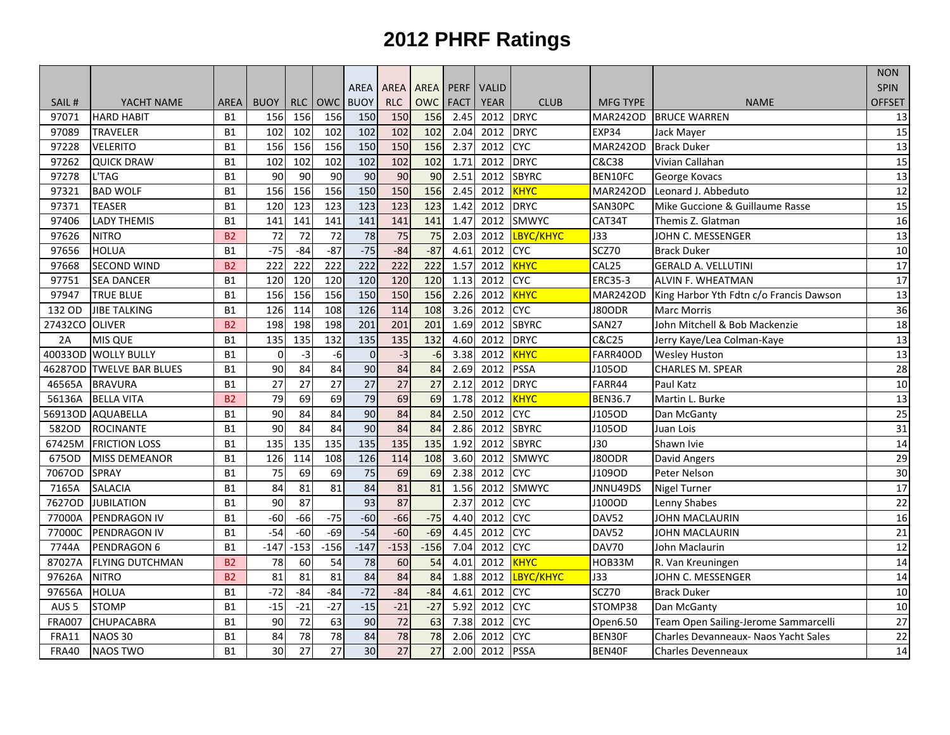|                  |                         |                |             |                 |                 |                 |             |                 |                   |              |              |                 |                                         | <b>NON</b>      |
|------------------|-------------------------|----------------|-------------|-----------------|-----------------|-----------------|-------------|-----------------|-------------------|--------------|--------------|-----------------|-----------------------------------------|-----------------|
|                  |                         |                |             |                 |                 | <b>AREA</b>     | <b>AREA</b> | <b>AREA</b>     | <b>PERF</b>       | <b>VALID</b> |              |                 |                                         | <b>SPIN</b>     |
| SAIL#            | YACHT NAME              | <b>AREA</b>    | <b>BUOY</b> | <b>RLC</b>      | <b>OWC</b>      | <b>BUOY</b>     | <b>RLC</b>  | <b>OWC</b>      | <b>FACT</b>       | <b>YEAR</b>  | <b>CLUB</b>  | <b>MFG TYPE</b> | <b>NAME</b>                             | <b>OFFSET</b>   |
| 97071            | <b>HARD HABIT</b>       | <b>B1</b>      | 156         | 156             | 156             | 150             | 150         | 156             | 2.45              | 2012         | <b>DRYC</b>  | <b>MAR242OD</b> | <b>BRUCE WARREN</b>                     | 13              |
| 97089            | <b>TRAVELER</b>         | <b>B1</b>      | 102         | 102             | 102             | 102             | 102         | 102             | 2.04              | 2012         | <b>DRYC</b>  | EXP34           | Jack Mayer                              | 15              |
| 97228            | <b>VELERITO</b>         | <b>B1</b>      | 156         | 156             | 156             | 150             | 150         | 156             | 2.37              | 2012         | <b>CYC</b>   | <b>MAR242OD</b> | <b>Brack Duker</b>                      | 13              |
| 97262            | <b>QUICK DRAW</b>       | <b>B1</b>      | 102         | 102             | 102             | 102             | 102         | 102             | 1.71              | 2012         | <b>DRYC</b>  | C&C38           | Vivian Callahan                         | 15              |
| 97278            | L'TAG                   | <b>B1</b>      | 90          | 90              | 90              | 90              | 90          | 90              | 2.51              | 2012         | <b>SBYRC</b> | BEN10FC         | George Kovacs                           | 13              |
| 97321            | <b>BAD WOLF</b>         | <b>B1</b>      | 156         | 156             | 156             | 150             | 150         | 156             | 2.45              | 2012         | <b>KHYC</b>  | <b>MAR242OD</b> | Leonard J. Abbeduto                     | $\overline{12}$ |
| 97371            | <b>TEASER</b>           | <b>B1</b>      | 120         | 123             | 123             | 123             | 123         | 123             | 1.42              | 2012         | <b>DRYC</b>  | SAN30PC         | Mike Guccione & Guillaume Rasse         | 15              |
| 97406            | <b>LADY THEMIS</b>      | <b>B1</b>      | 141         | 141             | 141             | 141             | 141         | 141             | 1.47              | 2012         | <b>SMWYC</b> | CAT34T          | Themis Z. Glatman                       | 16              |
| 97626            | <b>NITRO</b>            | <b>B2</b>      | 72          | 72              | 72              | 78              | 75          | 75              | 2.03              | 2012         | LBYC/KHYC    | <b>J33</b>      | JOHN C. MESSENGER                       | 13              |
| 97656            | <b>HOLUA</b>            | <b>B1</b>      | $-75$       | $-84$           | $-87$           | $-75$           | $-84$       | $-87$           | 4.61              | 2012         | <b>CYC</b>   | SCZ70           | <b>Brack Duker</b>                      | 10              |
| 97668            | <b>SECOND WIND</b>      | <b>B2</b>      | 222         | 222             | 222             | 222             | 222         | 222             | 1.57              | 2012         | <b>KHYC</b>  | CAL25           | <b>GERALD A. VELLUTINI</b>              | 17              |
| 97751            | <b>SEA DANCER</b>       | <b>B1</b>      | 120         | 120             | 120             | 120             | 120         | $\frac{120}{2}$ | 1.13              | 2012         | <b>CAC</b>   | <b>ERC35-3</b>  | ALVIN F. WHEATMAN                       | $\overline{17}$ |
| 97947            | <b>TRUE BLUE</b>        | <b>B1</b>      | 156         | 156             | 156             | 150             | 150         | 156             | 2.26              | 2012         | <b>KHYC</b>  | <b>MAR242OD</b> | King Harbor Yth Fdtn c/o Francis Dawson | 13              |
| 132 OD           | <b>JIBE TALKING</b>     | <b>B1</b>      | 126         | 114             | 108             | 126             | 114         | 108             | 3.26              | 2012         | <b>CAC</b>   | J80ODR          | Marc Morris                             | 36              |
| 27432CO OLIVER   |                         | B <sub>2</sub> | 198         | 198             | 198             | 201             | 201         | 201             | 1.69              | 2012         | <b>SBYRC</b> | <b>SAN27</b>    | John Mitchell & Bob Mackenzie           | 18              |
| 2A               | <b>MIS QUE</b>          | <b>B1</b>      | 135         | 135             | 132             | 135             | 135         | 132             | 4.60              | 2012         | <b>DRYC</b>  | C&C25           | Jerry Kaye/Lea Colman-Kaye              | 13              |
| 40033OD          | <b>WOLLY BULLY</b>      | <b>B1</b>      | $\mathbf 0$ | $-3$            | -6              | $\mathbf 0$     | $-3$        | -6              | 3.38              | 2012         | <b>KHYC</b>  | FARR40OD        | <b>Wesley Huston</b>                    | 13              |
| 46287OD          | <b>TWELVE BAR BLUES</b> | <b>B1</b>      | 90          | 84              | 84              | 90              | 84          | 84              | 2.69              | 2012         | <b>PSSA</b>  | J105OD          | <b>CHARLES M. SPEAR</b>                 | 28              |
| 46565A           | <b>BRAVURA</b>          | <b>B1</b>      | 27          | 27              | $\overline{27}$ | $\overline{27}$ | 27          | 27              | $2.\overline{12}$ | 2012         | <b>DRYC</b>  | FARR44          | Paul Katz                               | 10              |
| 56136A           | <b>BELLA VITA</b>       | <b>B2</b>      | 79          | 69              | 69              | 79              | 69          | 69              | 1.78              | 2012         | KHYC         | <b>BEN36.7</b>  | Martin L. Burke                         | 13              |
|                  | 56913OD AQUABELLA       | <b>B1</b>      | 90          | 84              | 84              | 90              | 84          | 84              | 2.50              | 2012         | <b>CAC</b>   | J105OD          | Dan McGanty                             | 25              |
| 582OD            | <b>ROCINANTE</b>        | <b>B1</b>      | 90          | 84              | 84              | $\overline{90}$ | 84          | 84              | 2.86              | 2012         | <b>SBYRC</b> | J105OD          | Juan Lois                               | 31              |
| 67425M           | <b>FRICTION LOSS</b>    | <b>B1</b>      | 135         | 135             | 135             | 135             | 135         | 135             | 1.92              | 2012         | <b>SBYRC</b> | 130             | Shawn Ivie                              | 14              |
| 675OD            | <b>MISS DEMEANOR</b>    | <b>B1</b>      | 126         | 114             | 108             | 126             | 114         | 108             | 3.60              | 2012         | <b>SMWYC</b> | J80ODR          | David Angers                            | 29              |
| 7067OD           | <b>SPRAY</b>            | <b>B1</b>      | 75          | 69              | 69              | 75              | 69          | 69              | 2.38              | 2012         | <b>CYC</b>   | J109OD          | Peter Nelson                            | 30              |
| 7165A            | <b>SALACIA</b>          | <b>B1</b>      | 84          | 81              | 81              | 84              | 81          | 81              | 1.56              | 2012         | <b>SMWYC</b> | JNNU49DS        | <b>Nigel Turner</b>                     | $\overline{17}$ |
| 7627OD           | <b>JUBILATION</b>       | <b>B1</b>      | 90          | $\overline{87}$ |                 | $\overline{93}$ | 87          |                 | 2.37              | 2012         | <b>CYC</b>   | J100OD          | Lenny Shabes                            | 22              |
| 77000A           | PENDRAGON IV            | <b>B1</b>      | $-60$       | $-66$           | $-75$           | $-60$           | $-66$       | $-75$           | 4.40              | 2012         | <b>CYC</b>   | DAV52           | <b>JOHN MACLAURIN</b>                   | $\overline{16}$ |
| 77000C           | PENDRAGON IV            | <b>B1</b>      | $-54$       | $-60$           | $-69$           | $-54$           | $-60$       | $-69$           | 4.45              | 2012         | <b>CAC</b>   | DAV52           | <b>JOHN MACLAURIN</b>                   | 21              |
| 7744A            | PENDRAGON 6             | <b>B1</b>      | $-147$      | $-153$          | $-156$          | $-147$          | $-153$      | $-156$          | 7.04              | 2012         | <b>CYC</b>   | <b>DAV70</b>    | John Maclaurin                          | 12              |
| 87027A           | <b>FLYING DUTCHMAN</b>  | <b>B2</b>      | 78          | 60              | 54              | $\overline{78}$ | 60          | 54              | 4.01              | 2012         | <b>KHYC</b>  | HOB33M          | R. Van Kreuningen                       | $\overline{14}$ |
| 97626A           | <b>NITRO</b>            | <b>B2</b>      | 81          | 81              | 81              | 84              | 84          | 84              | 1.88              | 2012         | LBYC/KHYC    | J33             | JOHN C. MESSENGER                       | 14              |
| 97656A           | <b>HOLUA</b>            | <b>B1</b>      | $-72$       | $-84$           | $-84$           | $-72$           | $-84$       | $-84$           | 4.61              | 2012         | <b>CYC</b>   | SCZ70           | <b>Brack Duker</b>                      | 10              |
| AUS <sub>5</sub> | <b>STOMP</b>            | <b>B1</b>      | $-15$       | $-21$           | $-27$           | $-15$           | $-21$       | $-27$           | 5.92              | 2012         | <b>CYC</b>   | STOMP38         | Dan McGanty                             | 10              |
| <b>FRA007</b>    | <b>CHUPACABRA</b>       | <b>B1</b>      | 90          | 72              | 63              | 90              | 72          | 63              | 7.38              | 2012         | <b>CYC</b>   | Open6.50        | Team Open Sailing-Jerome Sammarcelli    | 27              |
| <b>FRA11</b>     | <b>NAOS 30</b>          | <b>B1</b>      | 84          | 78              | 78              | 84              | 78          | 78              | 2.06              | 2012         | <b>CYC</b>   | BEN30F          | Charles Devanneaux- Naos Yacht Sales    | 22              |
| <b>FRA40</b>     | <b>NAOS TWO</b>         | <b>B1</b>      | 30          | 27              | $\overline{27}$ | 30              | 27          | $\overline{27}$ | 2.00              | 2012         | <b>PSSA</b>  | BEN40F          | Charles Devenneaux                      | 14              |